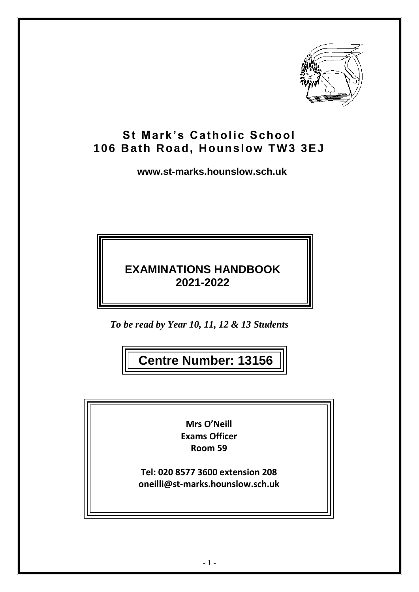

# **St Mark's Catholic School 106 Bath Road, Hounslow TW3 3EJ**

**www.st-marks.hounslow.sch.uk**

# **EXAMINATIONS HANDBOOK 2021-2022**

*To be read by Year 10, 11, 12 & 13 Students*

**Centre Number: 13156**

**Mrs O'Neill Exams Officer Room 59**

**Tel: 020 8577 3600 extension 208 oneilli@st-marks.hounslow.sch.uk**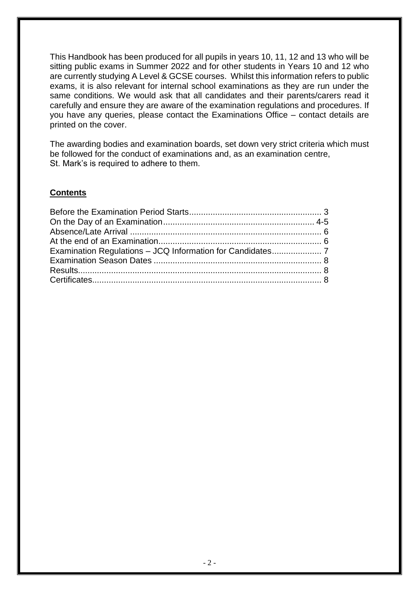This Handbook has been produced for all pupils in years 10, 11, 12 and 13 who will be sitting public exams in Summer 2022 and for other students in Years 10 and 12 who are currently studying A Level & GCSE courses. Whilst this information refers to public exams, it is also relevant for internal school examinations as they are run under the same conditions. We would ask that all candidates and their parents/carers read it carefully and ensure they are aware of the examination regulations and procedures. If you have any queries, please contact the Examinations Office – contact details are printed on the cover.

The awarding bodies and examination boards, set down very strict criteria which must be followed for the conduct of examinations and, as an examination centre, St. Mark's is required to adhere to them.

## **Contents**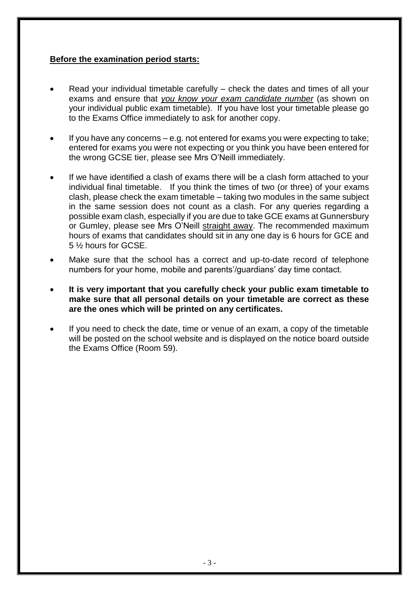## **Before the examination period starts:**

- Read your individual timetable carefully check the dates and times of all your exams and ensure that *you know your exam candidate number* (as shown on your individual public exam timetable). If you have lost your timetable please go to the Exams Office immediately to ask for another copy.
- If you have any concerns e.g. not entered for exams you were expecting to take; entered for exams you were not expecting or you think you have been entered for the wrong GCSE tier, please see Mrs O'Neill immediately.
- If we have identified a clash of exams there will be a clash form attached to your individual final timetable. If you think the times of two (or three) of your exams clash, please check the exam timetable – taking two modules in the same subject in the same session does not count as a clash. For any queries regarding a possible exam clash, especially if you are due to take GCE exams at Gunnersbury or Gumley, please see Mrs O'Neill straight away. The recommended maximum hours of exams that candidates should sit in any one day is 6 hours for GCE and 5 ½ hours for GCSE.
- Make sure that the school has a correct and up-to-date record of telephone numbers for your home, mobile and parents'/guardians' day time contact.
- **It is very important that you carefully check your public exam timetable to make sure that all personal details on your timetable are correct as these are the ones which will be printed on any certificates.**
- If you need to check the date, time or venue of an exam, a copy of the timetable will be posted on the school website and is displayed on the notice board outside the Exams Office (Room 59).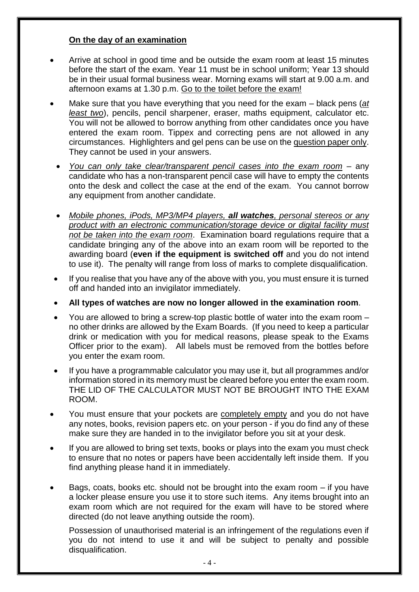## **On the day of an examination**

- Arrive at school in good time and be outside the exam room at least 15 minutes before the start of the exam. Year 11 must be in school uniform; Year 13 should be in their usual formal business wear. Morning exams will start at 9.00 a.m. and afternoon exams at 1.30 p.m. Go to the toilet before the exam!
- Make sure that you have everything that you need for the exam black pens (*at least two*), pencils, pencil sharpener, eraser, maths equipment, calculator etc. You will not be allowed to borrow anything from other candidates once you have entered the exam room. Tippex and correcting pens are not allowed in any circumstances. Highlighters and gel pens can be use on the question paper only. They cannot be used in your answers.
	- *You can only take clear/transparent pencil cases into the exam room* any candidate who has a non-transparent pencil case will have to empty the contents onto the desk and collect the case at the end of the exam. You cannot borrow any equipment from another candidate.
	- *Mobile phones, iPods, MP3/MP4 players, all watches, personal stereos or any product with an electronic communication/storage device or digital facility must not be taken into the exam room*. Examination board regulations require that a candidate bringing any of the above into an exam room will be reported to the awarding board (**even if the equipment is switched off** and you do not intend to use it). The penalty will range from loss of marks to complete disqualification.
- If you realise that you have any of the above with you, you must ensure it is turned off and handed into an invigilator immediately.
- **All types of watches are now no longer allowed in the examination room**.
- You are allowed to bring a screw-top plastic bottle of water into the exam room no other drinks are allowed by the Exam Boards. (If you need to keep a particular drink or medication with you for medical reasons, please speak to the Exams Officer prior to the exam). All labels must be removed from the bottles before you enter the exam room.
- If you have a programmable calculator you may use it, but all programmes and/or information stored in its memory must be cleared before you enter the exam room. THE LID OF THE CALCULATOR MUST NOT BE BROUGHT INTO THE EXAM ROOM.
- You must ensure that your pockets are completely empty and you do not have any notes, books, revision papers etc. on your person - if you do find any of these make sure they are handed in to the invigilator before you sit at your desk.
- If you are allowed to bring set texts, books or plays into the exam you must check to ensure that no notes or papers have been accidentally left inside them. If you find anything please hand it in immediately.
- Bags, coats, books etc. should not be brought into the exam room  $-$  if you have a locker please ensure you use it to store such items. Any items brought into an exam room which are not required for the exam will have to be stored where directed (do not leave anything outside the room).

Possession of unauthorised material is an infringement of the regulations even if you do not intend to use it and will be subject to penalty and possible disqualification.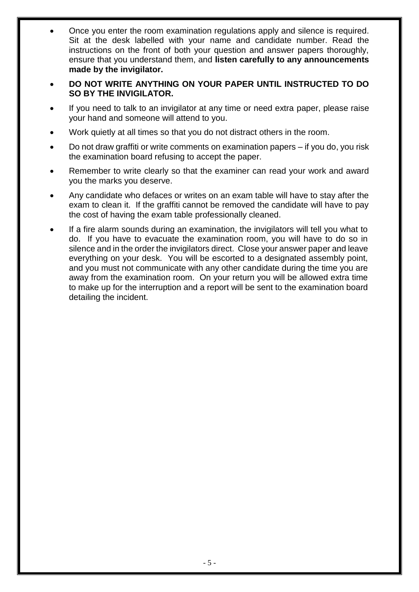- Once you enter the room examination regulations apply and silence is required. Sit at the desk labelled with your name and candidate number. Read the instructions on the front of both your question and answer papers thoroughly, ensure that you understand them, and **listen carefully to any announcements made by the invigilator.**
- **DO NOT WRITE ANYTHING ON YOUR PAPER UNTIL INSTRUCTED TO DO SO BY THE INVIGILATOR.**
- If you need to talk to an invigilator at any time or need extra paper, please raise your hand and someone will attend to you.
- Work quietly at all times so that you do not distract others in the room.
- Do not draw graffiti or write comments on examination papers if you do, you risk the examination board refusing to accept the paper.
- Remember to write clearly so that the examiner can read your work and award you the marks you deserve.
- Any candidate who defaces or writes on an exam table will have to stay after the exam to clean it. If the graffiti cannot be removed the candidate will have to pay the cost of having the exam table professionally cleaned.
- If a fire alarm sounds during an examination, the invigilators will tell you what to do. If you have to evacuate the examination room, you will have to do so in silence and in the order the invigilators direct. Close your answer paper and leave everything on your desk. You will be escorted to a designated assembly point, and you must not communicate with any other candidate during the time you are away from the examination room. On your return you will be allowed extra time to make up for the interruption and a report will be sent to the examination board detailing the incident.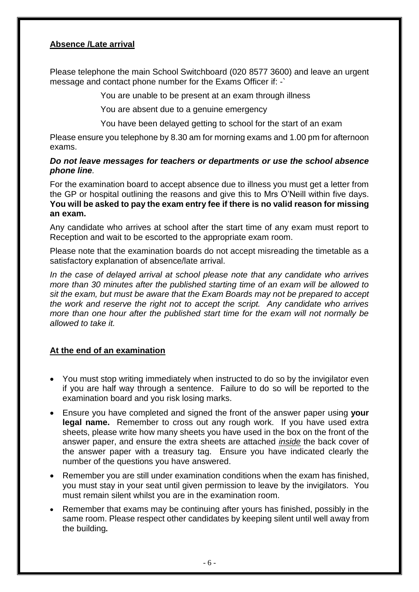# **Absence /Late arrival**

Please telephone the main School Switchboard (020 8577 3600) and leave an urgent message and contact phone number for the Exams Officer if: -`

You are unable to be present at an exam through illness

You are absent due to a genuine emergency

You have been delayed getting to school for the start of an exam

Please ensure you telephone by 8.30 am for morning exams and 1.00 pm for afternoon exams.

#### *Do not leave messages for teachers or departments or use the school absence phone line.*

For the examination board to accept absence due to illness you must get a letter from the GP or hospital outlining the reasons and give this to Mrs O'Neill within five days. **You will be asked to pay the exam entry fee if there is no valid reason for missing an exam.**

Any candidate who arrives at school after the start time of any exam must report to Reception and wait to be escorted to the appropriate exam room.

Please note that the examination boards do not accept misreading the timetable as a satisfactory explanation of absence/late arrival.

*In the case of delayed arrival at school please note that any candidate who arrives more than 30 minutes after the published starting time of an exam will be allowed to sit the exam, but must be aware that the Exam Boards may not be prepared to accept the work and reserve the right not to accept the script. Any candidate who arrives more than one hour after the published start time for the exam will not normally be allowed to take it.*

## **At the end of an examination**

- You must stop writing immediately when instructed to do so by the invigilator even if you are half way through a sentence. Failure to do so will be reported to the examination board and you risk losing marks.
- Ensure you have completed and signed the front of the answer paper using **your legal name.** Remember to cross out any rough work. If you have used extra sheets, please write how many sheets you have used in the box on the front of the answer paper, and ensure the extra sheets are attached *inside* the back cover of the answer paper with a treasury tag. Ensure you have indicated clearly the number of the questions you have answered.
- Remember you are still under examination conditions when the exam has finished, you must stay in your seat until given permission to leave by the invigilators. You must remain silent whilst you are in the examination room.
- Remember that exams may be continuing after yours has finished, possibly in the same room. Please respect other candidates by keeping silent until well away from the building**.**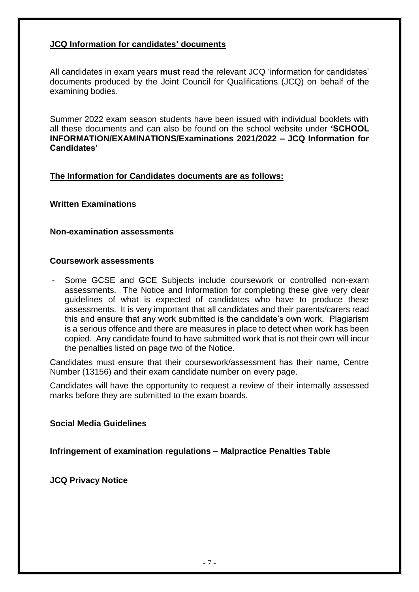## **JCQ Information for candidates' documents**

All candidates in exam years **must** read the relevant JCQ 'information for candidates' documents produced by the Joint Council for Qualifications (JCQ) on behalf of the examining bodies.

Summer 2022 exam season students have been issued with individual booklets with all these documents and can also be found on the school website under **'SCHOOL INFORMATION/EXAMINATIONS/Examinations 2021/2022 – JCQ Information for Candidates'**

### **The Information for Candidates documents are as follows:**

### **Written Examinations**

#### **Non-examination assessments**

#### **Coursework assessments**

- Some GCSE and GCE Subjects include coursework or controlled non-exam assessments. The Notice and Information for completing these give very clear guidelines of what is expected of candidates who have to produce these assessments. It is very important that all candidates and their parents/carers read this and ensure that any work submitted is the candidate's own work. Plagiarism is a serious offence and there are measures in place to detect when work has been copied. Any candidate found to have submitted work that is not their own will incur the penalties listed on page two of the Notice.

Candidates must ensure that their coursework/assessment has their name, Centre Number (13156) and their exam candidate number on every page.

Candidates will have the opportunity to request a review of their internally assessed marks before they are submitted to the exam boards.

#### **Social Media Guidelines**

### **Infringement of examination regulations – Malpractice Penalties Table**

**JCQ Privacy Notice**